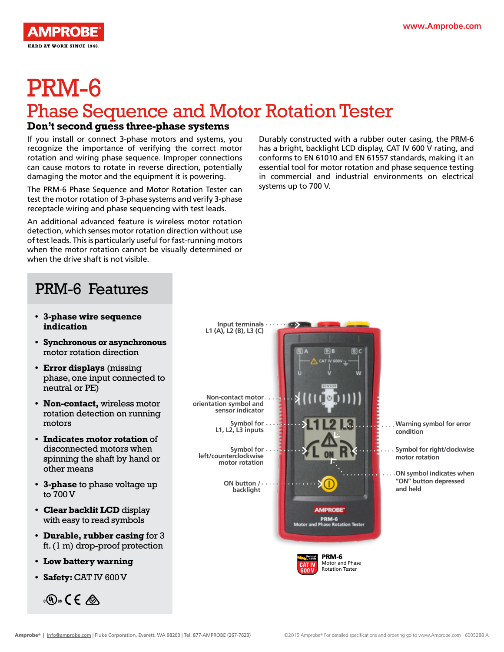

# PRM-6

## Phase Sequence and Motor Rotation Tester

#### **Don't second guess three-phase systems**

If you install or connect 3-phase motors and systems, you recognize the importance of verifying the correct motor rotation and wiring phase sequence. Improper connections can cause motors to rotate in reverse direction, potentially damaging the motor and the equipment it is powering.

The PRM-6 Phase Sequence and Motor Rotation Tester can test the motor rotation of 3-phase systems and verify 3-phase receptacle wiring and phase sequencing with test leads.

An additional advanced feature is wireless motor rotation detection, which senses motor rotation direction without use of test leads. This is particularly useful for fast-running motors when the motor rotation cannot be visually determined or when the drive shaft is not visible.

Durably constructed with a rubber outer casing, the PRM-6 has a bright, backlight LCD display, CAT IV 600 V rating, and conforms to EN 61010 and EN 61557 standards, making it an essential tool for motor rotation and phase sequence testing in commercial and industrial environments on electrical systems up to 700 V.

#### PRM-6 Features

- **• 3-phase wire sequence indication**
- **• Synchronous or asynchronous**  motor rotation direction
- **• Error displays** (missing phase, one input connected to neutral or PE)
- **• Non-contact,** wireless motor rotation detection on running motors
- **• Indicates motor rotation** of disconnected motors when spinning the shaft by hand or other means
- **• 3-phase** to phase voltage up to 700 V
- **• Clear backlit LCD** display with easy to read symbols
- **• Durable, rubber casing** for 3 ft. (1 m) drop-proof protection
- **• Low battery warning**
- **• Safety:** CAT IV 600 V

 $\mathcal{L}(\mathbb{Q})$ us  $\mathcal{L} \in \mathcal{L}$